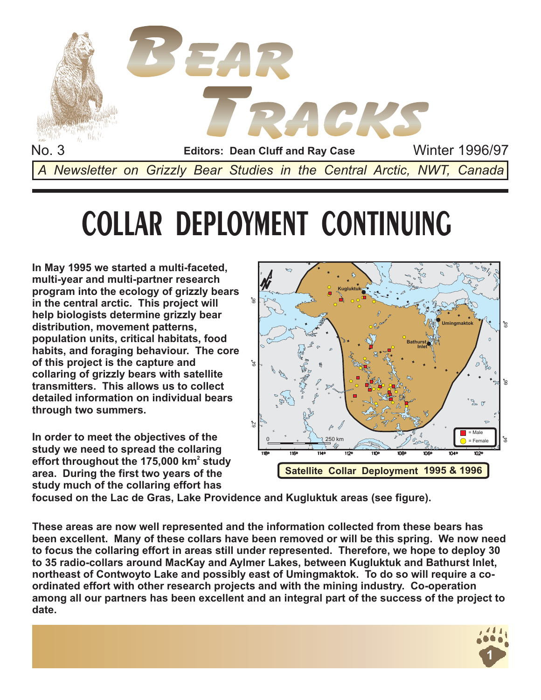

# **COLLAR DEPLOYMENT CONTINUING**

**In May 1995 we started a multi-faceted, multi-year and multi-partner research program into the ecology of grizzly bears in the central arctic. This project will help biologists determine grizzly bear distribution, movement patterns, population units, critical habitats, food habits, and foraging behaviour. The core of this project is the capture and collaring of grizzly bears with satellite transmitters. This allows us to collect detailed information on individual bears through two summers.**

**In order to meet the objectives of the study we need to spread the collaring** effort throughout the 175,000 km $^2$  study **area. During the first two years of the study much of the collaring effort has**



**focused on the Lac de Gras, Lake Providence and Kugluktuk areas (see figure).**

**These areas are now well represented and the information collected from these bears has been excellent. Many of these collars have been removed or will be this spring. We now need to focus the collaring effort in areas still under represented. Therefore, we hope to deploy 30 to 35 radio-collars around MacKay and Aylmer Lakes, between Kugluktuk and Bathurst Inlet, northeast of Contwoyto Lake and possibly east of Umingmaktok. To do so will require a coordinated effort with other research projects and with the mining industry. Co-operation among all our partners has been excellent and an integral part of the success of the project to date.**

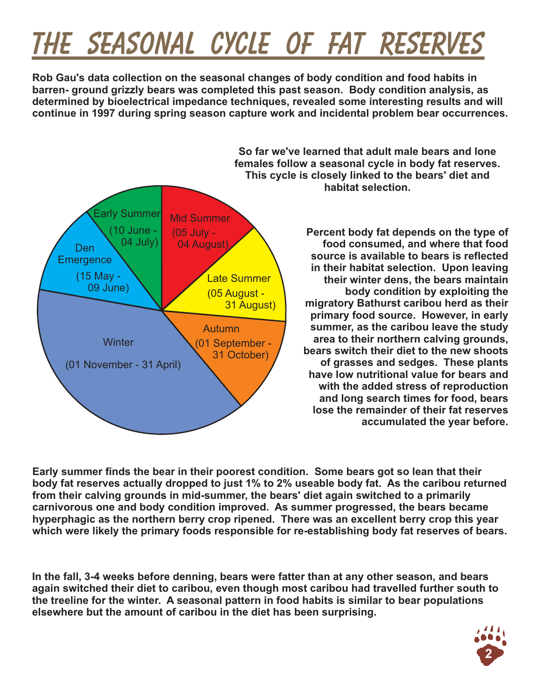## **THE SEASONAL CYCLE OF FAT RESERVES THE SEASONAL CYCLE OF FAT**

**Rob Gau's data collection on the seasonal changes of body condition and food habits in barren- ground grizzly bears was completed this past season. Body condition analysis, as determined by bioelectrical impedance techniques, revealed some interesting results and will continue in 1997 during spring season capture work and incidental problem bear occurrences.**



**So far we've learned that adult male bears and lone females follow a seasonal cycle in body fat reserves. This cycle is closely linked to the bears' diet and habitat selection.**

> **Percent body fat depends on the type of food consumed, and where that food source is available to bears is reflected in their habitat selection. Upon leaving their winter dens, the bears maintain body condition by exploiting the migratory Bathurst caribou herd as their primary food source. However, in early summer, as the caribou leave the study area to their northern calving grounds, bears switch their diet to the new shoots of grasses and sedges. These plants have low nutritional value for bears and with the added stress of reproduction and long search times for food, bears lose the remainder of their fat reserves accumulated the year before.**

**hom their carving grounds in mid-summer, the bears lifet again switched to a primarily carnivorous one and body condition improved. As summer progressed, the bears became<br>hyperphagic as the northern berry crop ripened. Th Early summer finds the bear in their poorest condition. Some bears got so lean that their body fat reserves actually dropped to just 1% to 2% useable body fat. As the caribou returned from their calving grounds in mid-summer, the bears' diet again switched to a primarily carnivorous one and body condition improved. As summer progressed, the bears became which were likely the primary foods responsible for re-establishing body fat reserves of bears.**

**In the fall, 3-4 weeks before denning, bears were fatter than at any other season, and bears again switched their diet to caribou, even though most caribou had travelled further south to the treeline for the winter. A seasonal pattern in food habits is similar to bear populations elsewhere but the amount of caribou in the diet has been surprising.**

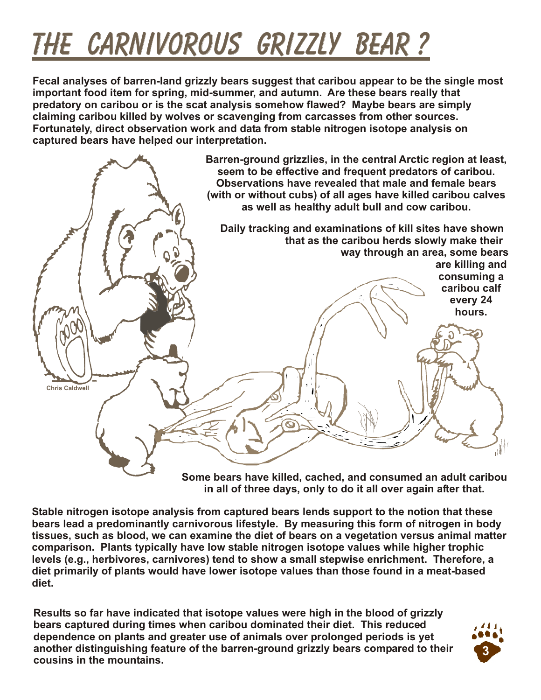# *THE CARNIVOROUS GRIZZLY BEAR ?*

**Fecal analyses of barren-land grizzly bears suggest that caribou appear to be the single most important food item for spring, mid-summer, and autumn. Are these bears really that predatory on caribou or is the scat analysis somehow flawed? Maybe bears are simply claiming caribou killed by wolves or scavenging from carcasses from other sources. Fortunately, direct observation work and data from stable nitrogen isotope analysis on captured bears have helped our interpretation.**



**Some bears have killed, cached, and consumed an adult caribou in all of three days, only to do it all over again after that.**

**Stable nitrogen isotope analysis from captured bears lends support to the notion that these bears lead a predominantly carnivorous lifestyle. By measuring this form of nitrogen in body tissues, such as blood, we can examine the diet of bears on a vegetation versus animal matter comparison. Plants typically have low stable nitrogen isotope values while higher trophic levels (e.g., herbivores, carnivores) tend to show a small stepwise enrichment. Therefore, a diet primarily of plants would have lower isotope values than those found in a meat-based diet.**

**Results so far have indicated that isotope values were high in the blood of grizzly bears captured during times when caribou dominated their diet. This reduced dependence on plants and greater use of animals over prolonged periods is yet another distinguishing feature of the barren-ground grizzly bears compared to their cousins in the mountains.**

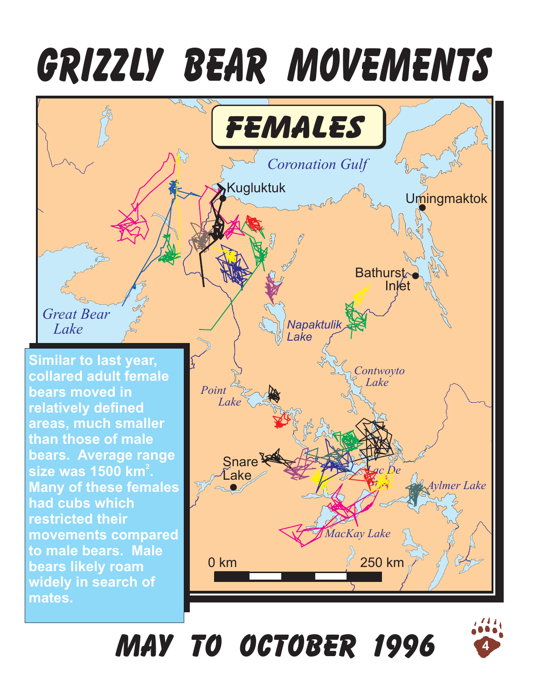# **GRIZZLY BEAR MOVEMENTS**



# **May to October 1996**

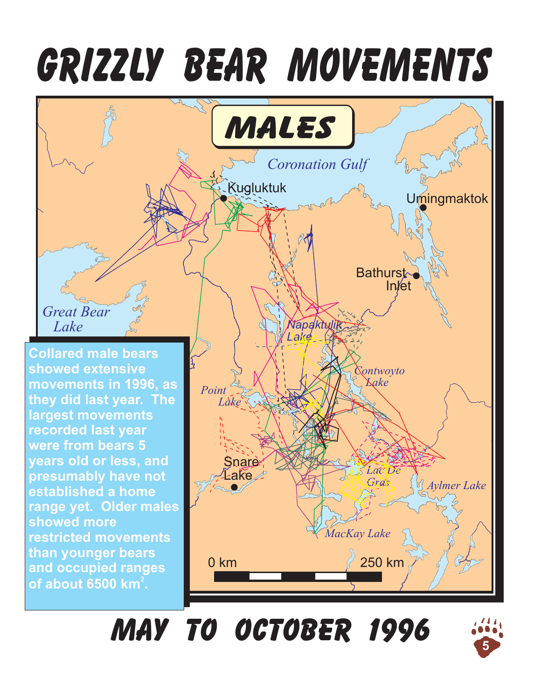# **GRIZZLY BEAR MOVEMENTS**



**May to October 1996**

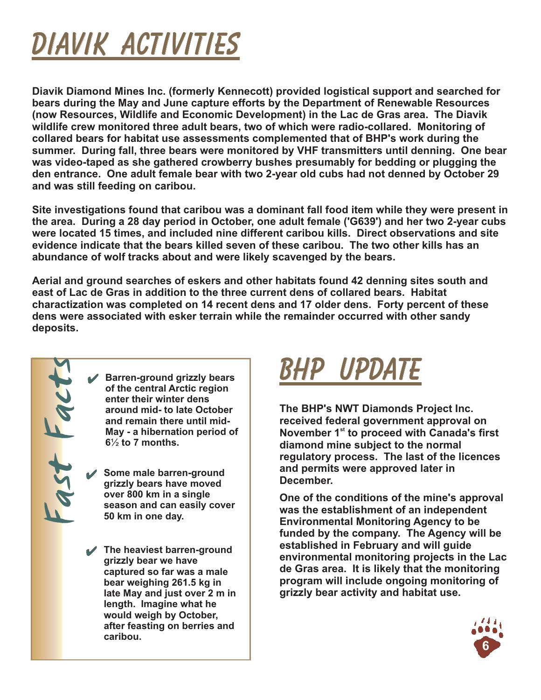## **DIAVIK ACTIVITIES DIAVIK**

**Diavik Diamond Mines Inc. (formerly Kennecott) provided logistical support and searched for bears during the May and June capture efforts by the Department of Renewable Resources (now Resources, Wildlife and Economic Development) in the Lac de Gras area. The Diavik wildlife crew monitored three adult bears, two of which were radio-collared. Monitoring of collared bears for habitat use assessments complemented that of BHP's work during the summer. During fall, three bears were monitored by VHF transmitters until denning. One bear was video-taped as she gathered crowberry bushes presumably for bedding or plugging the den entrance. One adult female bear with two 2-year old cubs had not denned by October 29 and was still feeding on caribou.**

**Site investigations found that caribou was a dominant fall food item while they were present in the area. During a 28 day period in October, one adult female ('G639') and her two 2-year cubs were located 15 times, and included nine different caribou kills. Direct observations and site evidence indicate that the bears killed seven of these caribou. The two other kills has an abundance of wolf tracks about and were likely scavenged by the bears.**

**Aerial and ground searches of eskers and other habitats found 42 denning sites south and east of Lac de Gras in addition to the three current dens of collared bears. Habitat charactization was completed on 14 recent dens and 17 older dens. Forty percent of these dens were associated with esker terrain while the remainder occurred with other sandy deposits.**

Farren-ground grizzly bears<br>
of the central Arctic region<br>
enter their winter dens<br>
around mid- to late October<br>
and remain there until mid-<br>
May - a hibernation period of<br>
6<sup>1</sup>/<sub>2</sub> to 7 months.<br>
Some male barren-ground<br>
g **of the central Arctic region enter their winter dens around mid- to late October and remain there until mid-May - a hibernation period of**  $6\frac{1}{2}$  to 7 months.

**Some male barren-ground grizzly bears have moved over 800 km in a single season and can easily cover 50 km in one day.**

*R. Gau* **bear weighing 261.5 kg in The heaviest barren-ground grizzly bear we have captured so far was a male late May and just over 2 m in length. Imagine what he would weigh by October, after feasting on berries and caribou.**

### **BHP UPDATE BHP**

**The BHP's NWT Diamonds Project Inc. received federal government approval on November 1<sup>st</sup> to proceed with Canada's first diamond mine subject to the normal regulatory process. The last of the licences and permits were approved later in December.**

**One of the conditions of the mine's approval was the establishment of an independent Environmental Monitoring Agency to be funded by the company. The Agency will be established in February and will guide environmental monitoring projects in the Lac de Gras area. It is likely that the monitoring program will include ongoing monitoring of grizzly bear activity and habitat use.**

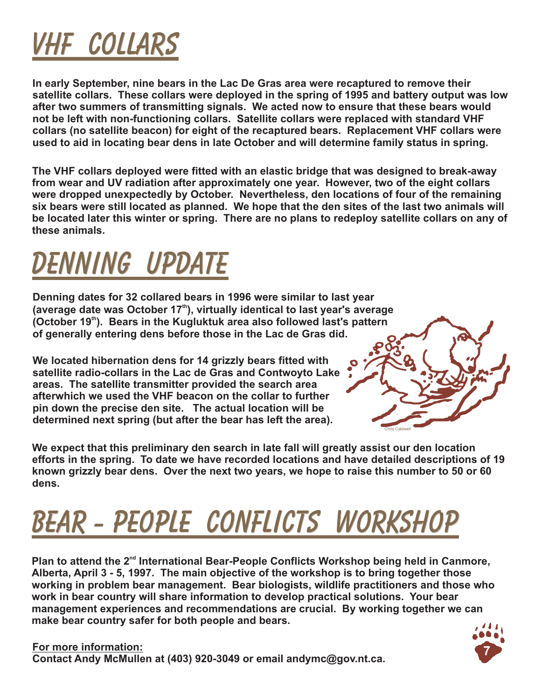### **VHF COLLARS VHF**

**In early September, nine bears in the Lac De Gras area were recaptured to remove their satellite collars. These collars were deployed in the spring of 1995 and battery output was low after two summers of transmitting signals. We acted now to ensure that these bears would not be left with non-functioning collars. Satellite collars were replaced with standard VHF collars (no satellite beacon) for eight of the recaptured bears. Replacement VHF collars were used to aid in locating bear dens in late October and will determine family status in spring.**

**The VHF collars deployed were fitted with an elastic bridge that was designed to break-away from wear and UV radiation after approximately one year. However, two of the eight collars were dropped unexpectedly by October. Nevertheless, den locations of four of the remaining six bears were still located as planned. We hope that the den sites of the last two animals will be located later this winter or spring. There are no plans to redeploy satellite collars on any of these animals.**

### **DENNING UPDATE DENNING**

**Denning dates for 32 collared bears in 1996 were similar to last year** (average date was October 17<sup>th</sup>), virtually identical to last year's average (October 19<sup>th</sup>). Bears in the Kugluktuk area also followed last's pattern **of generally entering dens before those in the Lac de Gras did.**

**We located hibernation dens for 14 grizzly bears fitted with satellite radio-collars in the Lac de Gras and Contwoyto Lake areas. The satellite transmitter provided the search area afterwhich we used the VHF beacon on the collar to further pin down the precise den site. The actual location will be determined next spring (but after the bear has left the area).**



**We expect that this preliminary den search in late fall will greatly assist our den location efforts in the spring. To date we have recorded locations and have detailed descriptions of 19 known grizzly bear dens. Over the next two years, we hope to raise this number to 50 or 60 dens.**

# **BEAR - PEOPLE CONFLICTS WORKSHOP BEAR - PEOPLE CONFLICTS**

Plan to attend the 2<sup>nd</sup> International Bear-People Conflicts Workshop being held in Canmore, **Alberta, April 3 - 5, 1997. The main objective of the workshop is to bring together those working in problem bear management. Bear biologists, wildlife practitioners and those who work in bear country will share information to develop practical solutions. Your bear management experiences and recommendations are crucial. By working together we can make bear country safer for both people and bears.**



**For more information: Contact Andy McMullen at (403) 920-3049 or email andymc@gov.nt.ca.**